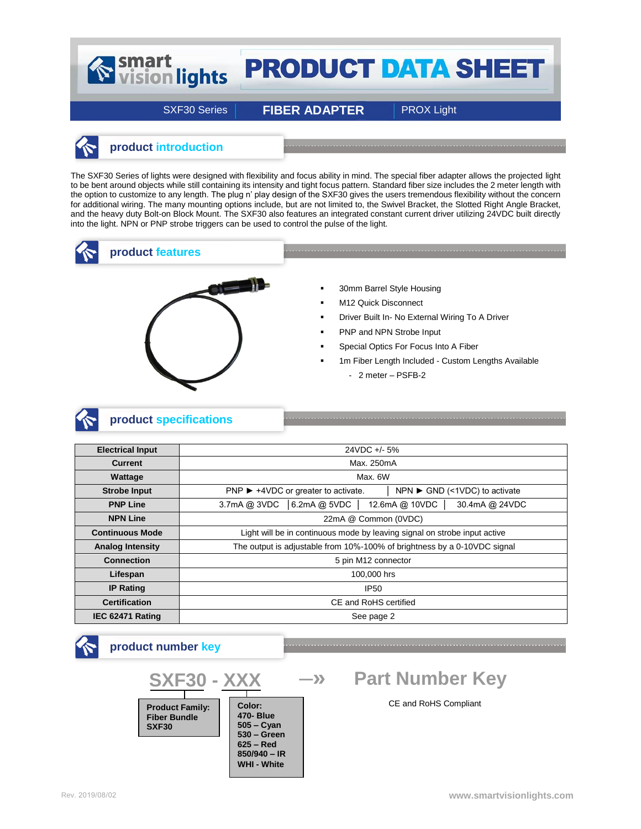# Smart<br>
vision lights **PRODUCT DATA SHEET**

SXF30 Series **FIBER ADAPTER** PROX Light

## **product introduction**

The SXF30 Series of lights were designed with flexibility and focus ability in mind. The special fiber adapter allows the projected light to be bent around objects while still containing its intensity and tight focus pattern. Standard fiber size includes the 2 meter length with the option to customize to any length. The plug n' play design of the SXF30 gives the users tremendous flexibility without the concern for additional wiring. The many mounting options include, but are not limited to, the Swivel Bracket, the Slotted Right Angle Bracket, and the heavy duty Bolt-on Block Mount. The SXF30 also features an integrated constant current driver utilizing 24VDC built directly into the light. NPN or PNP strobe triggers can be used to control the pulse of the light.



#### **product features**



- **30mm Barrel Style Housing**
- **M12 Quick Disconnect**
- **-** Driver Built In- No External Wiring To A Driver
- PNP and NPN Strobe Input
- Special Optics For Focus Into A Fiber
- 1m Fiber Length Included Custom Lengths Available
	- 2 meter PSFB-2

# **product specifications**

| <b>Electrical Input</b> | 24VDC +/- 5%                                                                                              |  |  |  |  |
|-------------------------|-----------------------------------------------------------------------------------------------------------|--|--|--|--|
| <b>Current</b>          | Max. 250mA                                                                                                |  |  |  |  |
| Wattage                 | Max. 6W                                                                                                   |  |  |  |  |
| <b>Strobe Input</b>     | $NPN \triangleright$ GND (<1VDC) to activate<br>$PNP$ $\blacktriangleright$ +4VDC or greater to activate. |  |  |  |  |
| <b>PNP Line</b>         | 6.2mA @ 5VDC<br>12.6mA @ 10VDC<br>30.4mA @ 24VDC<br>3.7mA @ 3VDC                                          |  |  |  |  |
| <b>NPN Line</b>         | 22mA @ Common (0VDC)                                                                                      |  |  |  |  |
| <b>Continuous Mode</b>  | Light will be in continuous mode by leaving signal on strobe input active                                 |  |  |  |  |
| <b>Analog Intensity</b> | The output is adjustable from 10%-100% of brightness by a 0-10VDC signal                                  |  |  |  |  |
| <b>Connection</b>       | 5 pin M12 connector                                                                                       |  |  |  |  |
| Lifespan                | 100,000 hrs                                                                                               |  |  |  |  |
| <b>IP Rating</b>        | <b>IP50</b>                                                                                               |  |  |  |  |
| <b>Certification</b>    | CE and RoHS certified                                                                                     |  |  |  |  |
| IEC 62471 Rating        | See page 2                                                                                                |  |  |  |  |

CE and RoHS Compliant **SXF30 - XXX Product Family: Fiber Bundle SXF30 Part Number Key product number key ─» Color: 470- Blue 505 – Cyan 530 – Green 625 – Red 850/940 – IR WHI - White**